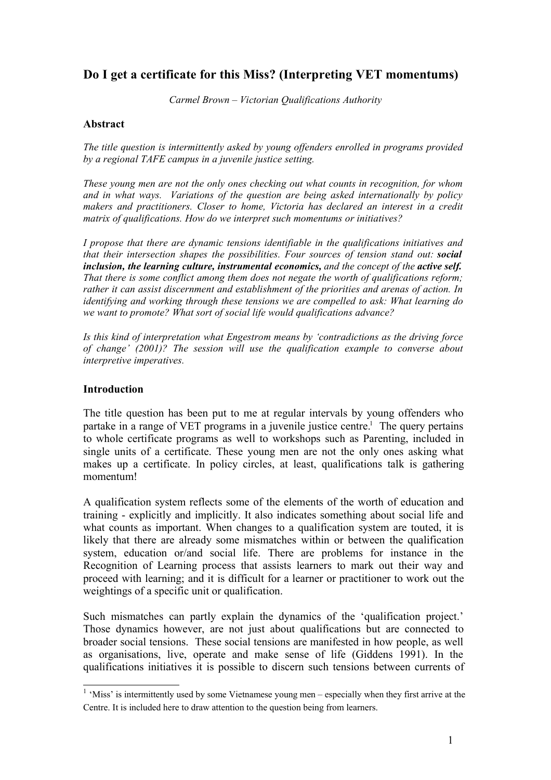# **Do I get a certificate for this Miss? (Interpreting VET momentums)**

*Carmel Brown – Victorian Qualifications Authority*

#### **Abstract**

*The title question is intermittently asked by young offenders enrolled in programs provided by a regional TAFE campus in a juvenile justice setting.*

*These young men are not the only ones checking out what counts in recognition, for whom and in what ways. Variations of the question are being asked internationally by policy makers and practitioners. Closer to home, Victoria has declared an interest in a credit matrix of qualifications. How do we interpret such momentums or initiatives?*

*I propose that there are dynamic tensions identifiable in the qualifications initiatives and that their intersection shapes the possibilities. Four sources of tension stand out: social inclusion, the learning culture, instrumental economics, and the concept of the active self. That there is some conflict among them does not negate the worth of qualifications reform; rather it can assist discernment and establishment of the priorities and arenas of action. In identifying and working through these tensions we are compelled to ask: What learning do we want to promote? What sort of social life would qualifications advance?*

*Is this kind of interpretation what Engestrom means by 'contradictions as the driving force of change' (2001)? The session will use the qualification example to converse about interpretive imperatives.* 

### **Introduction**

The title question has been put to me at regular intervals by young offenders who partake in a range of VET programs in a juvenile justice centre. <sup>1</sup> The query pertains to whole certificate programs as well to workshops such as Parenting, included in single units of a certificate. These young men are not the only ones asking what makes up a certificate. In policy circles, at least, qualifications talk is gathering momentum!

A qualification system reflects some of the elements of the worth of education and training - explicitly and implicitly. It also indicates something about social life and what counts as important. When changes to a qualification system are touted, it is likely that there are already some mismatches within or between the qualification system, education or/and social life. There are problems for instance in the Recognition of Learning process that assists learners to mark out their way and proceed with learning; and it is difficult for a learner or practitioner to work out the weightings of a specific unit or qualification.

Such mismatches can partly explain the dynamics of the 'qualification project.' Those dynamics however, are not just about qualifications but are connected to broader social tensions. These social tensions are manifested in how people, as well as organisations, live, operate and make sense of life (Giddens 1991). In the qualifications initiatives it is possible to discern such tensions between currents of

<sup>&</sup>lt;sup>1</sup> 'Miss' is intermittently used by some Vietnamese young men – especially when they first arrive at the Centre. It is included here to draw attention to the question being from learners.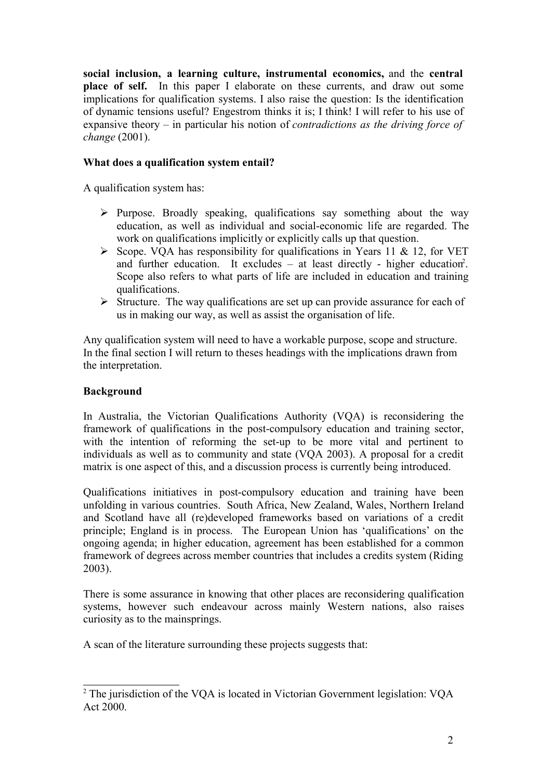**social inclusion, a learning culture, instrumental economics,** and the **central place of self.** In this paper I elaborate on these currents, and draw out some implications for qualification systems. I also raise the question: Is the identification of dynamic tensions useful? Engestrom thinks it is; I think! I will refer to his use of expansive theory – in particular his notion of *contradictions as the driving force of change* (2001).

# **What does a qualification system entail?**

A qualification system has:

- $\triangleright$  Purpose. Broadly speaking, qualifications say something about the way education, as well as individual and social-economic life are regarded. The work on qualifications implicitly or explicitly calls up that question.
- $\triangleright$  Scope. VOA has responsibility for qualifications in Years 11 & 12, for VET and further education. It excludes – at least directly - higher education<sup>2</sup>. Scope also refers to what parts of life are included in education and training qualifications.
- $\triangleright$  Structure. The way qualifications are set up can provide assurance for each of us in making our way, as well as assist the organisation of life.

Any qualification system will need to have a workable purpose, scope and structure. In the final section I will return to theses headings with the implications drawn from the interpretation.

# **Background**

In Australia, the Victorian Qualifications Authority (VQA) is reconsidering the framework of qualifications in the post-compulsory education and training sector, with the intention of reforming the set-up to be more vital and pertinent to individuals as well as to community and state (VQA 2003). A proposal for a credit matrix is one aspect of this, and a discussion process is currently being introduced.

Qualifications initiatives in post-compulsory education and training have been unfolding in various countries. South Africa, New Zealand, Wales, Northern Ireland and Scotland have all (re)developed frameworks based on variations of a credit principle; England is in process. The European Union has 'qualifications' on the ongoing agenda; in higher education, agreement has been established for a common framework of degrees across member countries that includes a credits system (Riding 2003).

There is some assurance in knowing that other places are reconsidering qualification systems, however such endeavour across mainly Western nations, also raises curiosity as to the mainsprings.

A scan of the literature surrounding these projects suggests that:

<sup>2</sup> The jurisdiction of the VQA is located in Victorian Government legislation: VQA Act 2000.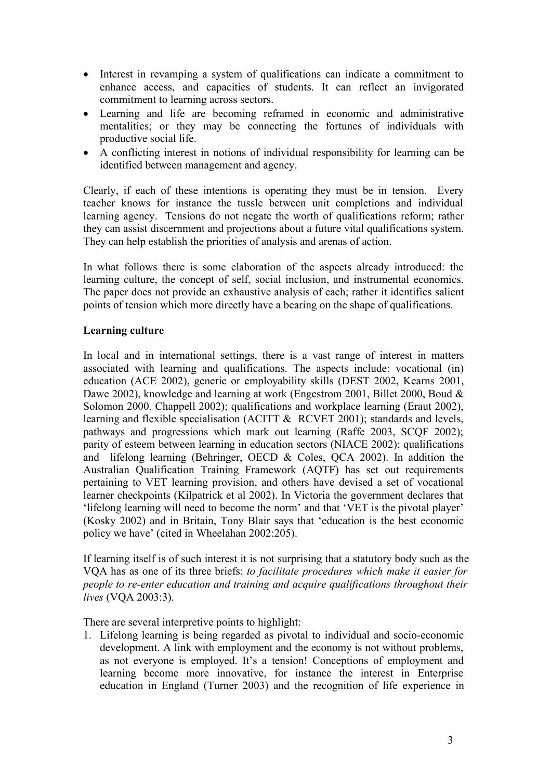- Interest in revamping a system of qualifications can indicate a commitment to enhance access, and capacities of students. It can reflect an invigorated commitment to learning across sectors.
- Learning and life are becoming reframed in economic and administrative mentalities; or they may be connecting the fortunes of individuals with productive social life.
- A conflicting interest in notions of individual responsibility for learning can be identified between management and agency.

Clearly, if each of these intentions is operating they must be in tension. Every teacher knows for instance the tussle between unit completions and individual learning agency. Tensions do not negate the worth of qualifications reform; rather they can assist discernment and projections about a future vital qualifications system. They can help establish the priorities of analysis and arenas of action.

In what follows there is some elaboration of the aspects already introduced: the learning culture, the concept of self, social inclusion, and instrumental economics. The paper does not provide an exhaustive analysis of each; rather it identifies salient points of tension which more directly have a bearing on the shape of qualifications.

# **Learning culture**

In local and in international settings, there is a vast range of interest in matters associated with learning and qualifications. The aspects include: vocational (in) education (ACE 2002), generic or employability skills (DEST 2002, Kearns 2001, Dawe 2002), knowledge and learning at work (Engestrom 2001, Billet 2000, Boud & Solomon 2000, Chappell 2002); qualifications and workplace learning (Eraut 2002), learning and flexible specialisation (ACITT & RCVET 2001); standards and levels, pathways and progressions which mark out learning (Raffe 2003, SCQF 2002); parity of esteem between learning in education sectors (NIACE 2002); qualifications and lifelong learning (Behringer, OECD & Coles, QCA 2002). In addition the Australian Qualification Training Framework (AQTF) has set out requirements pertaining to VET learning provision, and others have devised a set of vocational learner checkpoints (Kilpatrick et al 2002). In Victoria the government declares that 'lifelong learning will need to become the norm' and that 'VET is the pivotal player' (Kosky 2002) and in Britain, Tony Blair says that 'education is the best economic policy we have' (cited in Wheelahan 2002:205).

If learning itself is of such interest it is not surprising that a statutory body such as the VQA has as one of its three briefs: *to facilitate procedures which make it easier for people to re-enter education and training and acquire qualifications throughout their lives* (VQA 2003:3).

There are several interpretive points to highlight:

1. Lifelong learning is being regarded as pivotal to individual and socio-economic development. A link with employment and the economy is not without problems, as not everyone is employed. It's a tension! Conceptions of employment and learning become more innovative, for instance the interest in Enterprise education in England (Turner 2003) and the recognition of life experience in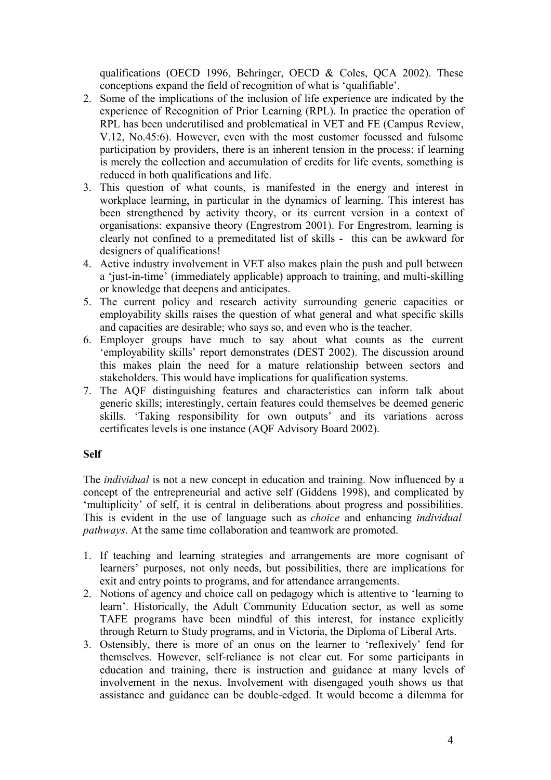qualifications (OECD 1996, Behringer, OECD & Coles, QCA 2002). These conceptions expand the field of recognition of what is 'qualifiable'.

- 2. Some of the implications of the inclusion of life experience are indicated by the experience of Recognition of Prior Learning (RPL). In practice the operation of RPL has been underutilised and problematical in VET and FE (Campus Review, V.12, No.45:6). However, even with the most customer focussed and fulsome participation by providers, there is an inherent tension in the process: if learning is merely the collection and accumulation of credits for life events, something is reduced in both qualifications and life.
- 3. This question of what counts, is manifested in the energy and interest in workplace learning, in particular in the dynamics of learning. This interest has been strengthened by activity theory, or its current version in a context of organisations: expansive theory (Engrestrom 2001). For Engrestrom, learning is clearly not confined to a premeditated list of skills - this can be awkward for designers of qualifications!
- 4. Active industry involvement in VET also makes plain the push and pull between a 'just-in-time' (immediately applicable) approach to training, and multi-skilling or knowledge that deepens and anticipates.
- 5. The current policy and research activity surrounding generic capacities or employability skills raises the question of what general and what specific skills and capacities are desirable; who says so, and even who is the teacher.
- 6. Employer groups have much to say about what counts as the current 'employability skills' report demonstrates (DEST 2002). The discussion around this makes plain the need for a mature relationship between sectors and stakeholders. This would have implications for qualification systems.
- 7. The AQF distinguishing features and characteristics can inform talk about generic skills; interestingly, certain features could themselves be deemed generic skills. 'Taking responsibility for own outputs' and its variations across certificates levels is one instance (AQF Advisory Board 2002).

# **Self**

The *individual* is not a new concept in education and training. Now influenced by a concept of the entrepreneurial and active self (Giddens 1998), and complicated by 'multiplicity' of self, it is central in deliberations about progress and possibilities. This is evident in the use of language such as *choice* and enhancing *individual pathways*. At the same time collaboration and teamwork are promoted.

- 1. If teaching and learning strategies and arrangements are more cognisant of learners' purposes, not only needs, but possibilities, there are implications for exit and entry points to programs, and for attendance arrangements.
- 2. Notions of agency and choice call on pedagogy which is attentive to 'learning to learn'. Historically, the Adult Community Education sector, as well as some TAFE programs have been mindful of this interest, for instance explicitly through Return to Study programs, and in Victoria, the Diploma of Liberal Arts.
- 3. Ostensibly, there is more of an onus on the learner to 'reflexively' fend for themselves. However, self-reliance is not clear cut. For some participants in education and training, there is instruction and guidance at many levels of involvement in the nexus. Involvement with disengaged youth shows us that assistance and guidance can be double-edged. It would become a dilemma for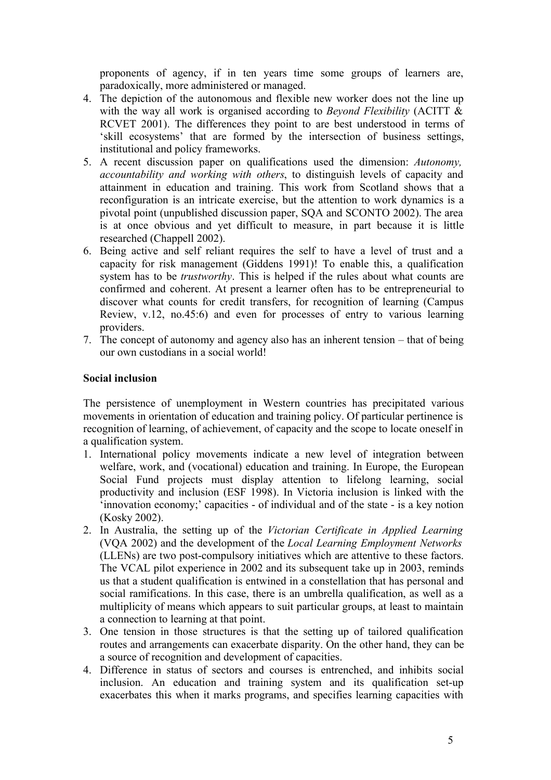proponents of agency, if in ten years time some groups of learners are, paradoxically, more administered or managed.

- 4. The depiction of the autonomous and flexible new worker does not the line up with the way all work is organised according to *Beyond Flexibility* (ACITT  $\&$ RCVET 2001). The differences they point to are best understood in terms of 'skill ecosystems' that are formed by the intersection of business settings, institutional and policy frameworks.
- 5. A recent discussion paper on qualifications used the dimension: *Autonomy, accountability and working with others*, to distinguish levels of capacity and attainment in education and training. This work from Scotland shows that a reconfiguration is an intricate exercise, but the attention to work dynamics is a pivotal point (unpublished discussion paper, SQA and SCONTO 2002). The area is at once obvious and yet difficult to measure, in part because it is little researched (Chappell 2002).
- 6. Being active and self reliant requires the self to have a level of trust and a capacity for risk management (Giddens 1991)! To enable this, a qualification system has to be *trustworthy*. This is helped if the rules about what counts are confirmed and coherent. At present a learner often has to be entrepreneurial to discover what counts for credit transfers, for recognition of learning (Campus Review, v.12, no.45:6) and even for processes of entry to various learning providers.
- 7. The concept of autonomy and agency also has an inherent tension that of being our own custodians in a social world!

#### **Social inclusion**

The persistence of unemployment in Western countries has precipitated various movements in orientation of education and training policy. Of particular pertinence is recognition of learning, of achievement, of capacity and the scope to locate oneself in a qualification system.

- 1. International policy movements indicate a new level of integration between welfare, work, and (vocational) education and training. In Europe, the European Social Fund projects must display attention to lifelong learning, social productivity and inclusion (ESF 1998). In Victoria inclusion is linked with the 'innovation economy;' capacities - of individual and of the state - is a key notion (Kosky 2002).
- 2. In Australia, the setting up of the *Victorian Certificate in Applied Learning* (VQA 2002) and the development of the *Local Learning Employment Networks* (LLENs) are two post-compulsory initiatives which are attentive to these factors. The VCAL pilot experience in 2002 and its subsequent take up in 2003, reminds us that a student qualification is entwined in a constellation that has personal and social ramifications. In this case, there is an umbrella qualification, as well as a multiplicity of means which appears to suit particular groups, at least to maintain a connection to learning at that point.
- 3. One tension in those structures is that the setting up of tailored qualification routes and arrangements can exacerbate disparity. On the other hand, they can be a source of recognition and development of capacities.
- 4. Difference in status of sectors and courses is entrenched, and inhibits social inclusion. An education and training system and its qualification set-up exacerbates this when it marks programs, and specifies learning capacities with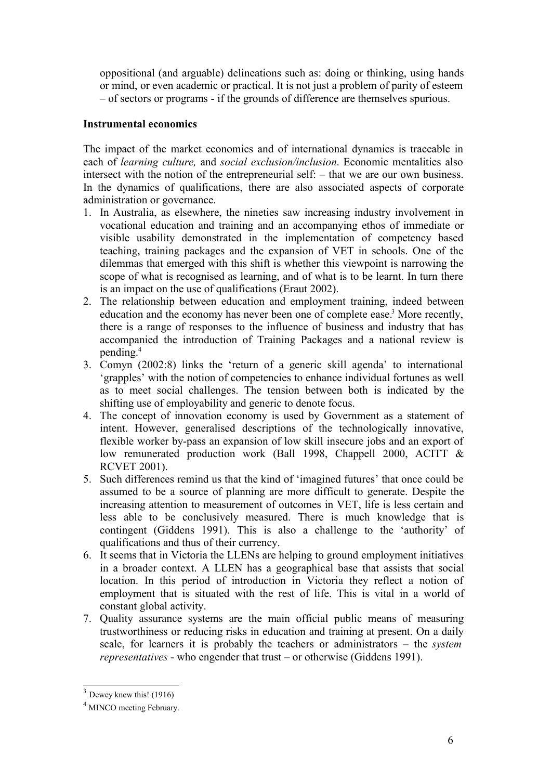oppositional (and arguable) delineations such as: doing or thinking, using hands or mind, or even academic or practical. It is not just a problem of parity of esteem – of sectors or programs - if the grounds of difference are themselves spurious.

## **Instrumental economics**

The impact of the market economics and of international dynamics is traceable in each of *learning culture,* and *social exclusion/inclusion*. Economic mentalities also intersect with the notion of the entrepreneurial self: – that we are our own business. In the dynamics of qualifications, there are also associated aspects of corporate administration or governance.

- 1. In Australia, as elsewhere, the nineties saw increasing industry involvement in vocational education and training and an accompanying ethos of immediate or visible usability demonstrated in the implementation of competency based teaching, training packages and the expansion of VET in schools. One of the dilemmas that emerged with this shift is whether this viewpoint is narrowing the scope of what is recognised as learning, and of what is to be learnt. In turn there is an impact on the use of qualifications (Eraut 2002).
- 2. The relationship between education and employment training, indeed between education and the economy has never been one of complete ease.<sup>3</sup> More recently, there is a range of responses to the influence of business and industry that has accompanied the introduction of Training Packages and a national review is pending. 4
- 3. Comyn (2002:8) links the 'return of a generic skill agenda' to international 'grapples' with the notion of competencies to enhance individual fortunes as well as to meet social challenges. The tension between both is indicated by the shifting use of employability and generic to denote focus.
- 4. The concept of innovation economy is used by Government as a statement of intent. However, generalised descriptions of the technologically innovative, flexible worker by-pass an expansion of low skill insecure jobs and an export of low remunerated production work (Ball 1998, Chappell 2000, ACITT & RCVET 2001).
- 5. Such differences remind us that the kind of 'imagined futures' that once could be assumed to be a source of planning are more difficult to generate. Despite the increasing attention to measurement of outcomes in VET, life is less certain and less able to be conclusively measured. There is much knowledge that is contingent (Giddens 1991). This is also a challenge to the 'authority' of qualifications and thus of their currency.
- 6. It seems that in Victoria the LLENs are helping to ground employment initiatives in a broader context. A LLEN has a geographical base that assists that social location. In this period of introduction in Victoria they reflect a notion of employment that is situated with the rest of life. This is vital in a world of constant global activity.
- 7. Quality assurance systems are the main official public means of measuring trustworthiness or reducing risks in education and training at present. On a daily scale, for learners it is probably the teachers or administrators – the *system representatives* - who engender that trust – or otherwise (Giddens 1991).

 $3$  Dewey knew this! (1916)

<sup>4</sup> MINCO meeting February.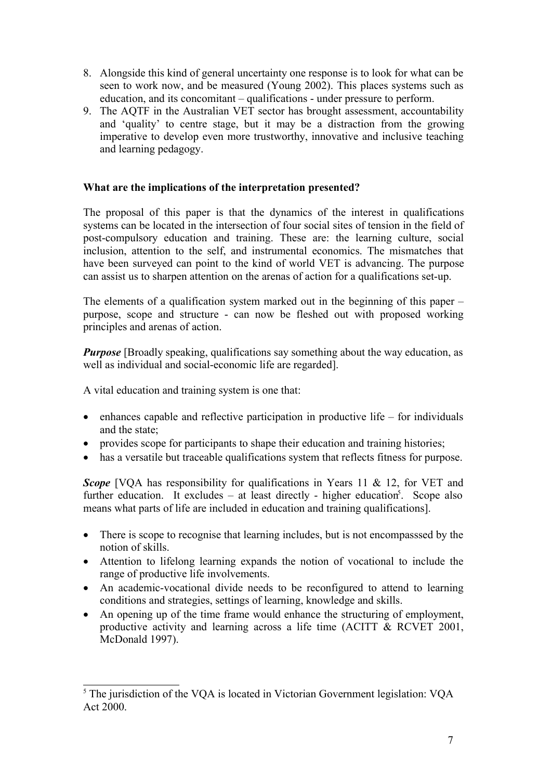- 8. Alongside this kind of general uncertainty one response is to look for what can be seen to work now, and be measured (Young 2002). This places systems such as education, and its concomitant – qualifications - under pressure to perform.
- 9. The AQTF in the Australian VET sector has brought assessment, accountability and 'quality' to centre stage, but it may be a distraction from the growing imperative to develop even more trustworthy, innovative and inclusive teaching and learning pedagogy.

# **What are the implications of the interpretation presented?**

The proposal of this paper is that the dynamics of the interest in qualifications systems can be located in the intersection of four social sites of tension in the field of post-compulsory education and training. These are: the learning culture, social inclusion, attention to the self, and instrumental economics. The mismatches that have been surveyed can point to the kind of world VET is advancing. The purpose can assist us to sharpen attention on the arenas of action for a qualifications set-up.

The elements of a qualification system marked out in the beginning of this paper – purpose, scope and structure - can now be fleshed out with proposed working principles and arenas of action.

*Purpose* [Broadly speaking, qualifications say something about the way education, as well as individual and social-economic life are regarded].

A vital education and training system is one that:

- $\bullet$  enhances capable and reflective participation in productive life for individuals and the state;
- provides scope for participants to shape their education and training histories;
- has a versatile but traceable qualifications system that reflects fitness for purpose.

*Scope* [VOA has responsibility for qualifications in Years 11 & 12, for VET and further education. It excludes  $-$  at least directly - higher education<sup>5</sup>. Scope also means what parts of life are included in education and training qualifications].

- There is scope to recognise that learning includes, but is not encompassed by the notion of skills.
- Attention to lifelong learning expands the notion of vocational to include the range of productive life involvements.
- An academic-vocational divide needs to be reconfigured to attend to learning conditions and strategies, settings of learning, knowledge and skills.
- An opening up of the time frame would enhance the structuring of employment, productive activity and learning across a life time (ACITT & RCVET 2001, McDonald 1997).

<sup>&</sup>lt;sup>5</sup> The jurisdiction of the VQA is located in Victorian Government legislation: VQA Act 2000.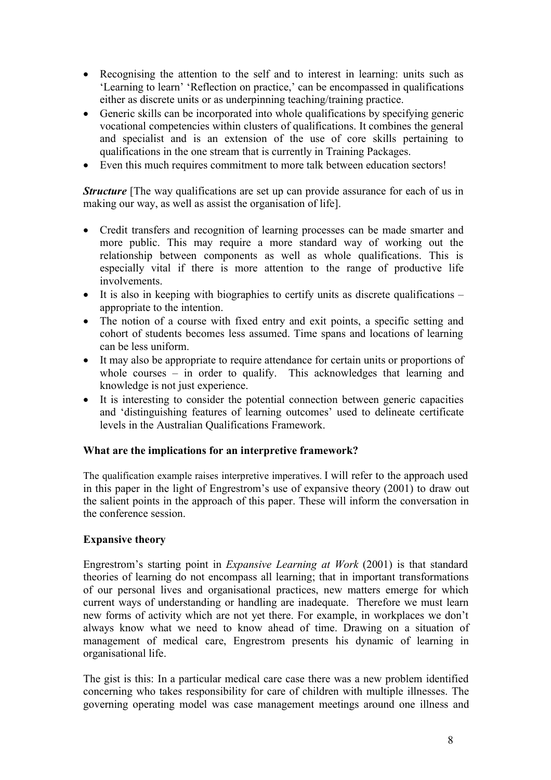- Recognising the attention to the self and to interest in learning: units such as 'Learning to learn' 'Reflection on practice,' can be encompassed in qualifications either as discrete units or as underpinning teaching/training practice.
- Generic skills can be incorporated into whole qualifications by specifying generic vocational competencies within clusters of qualifications. It combines the general and specialist and is an extension of the use of core skills pertaining to qualifications in the one stream that is currently in Training Packages.
- Even this much requires commitment to more talk between education sectors!

*Structure* [The way qualifications are set up can provide assurance for each of us in making our way, as well as assist the organisation of life].

- Credit transfers and recognition of learning processes can be made smarter and more public. This may require a more standard way of working out the relationship between components as well as whole qualifications. This is especially vital if there is more attention to the range of productive life involvements.
- $\bullet$  It is also in keeping with biographies to certify units as discrete qualifications appropriate to the intention.
- The notion of a course with fixed entry and exit points, a specific setting and cohort of students becomes less assumed. Time spans and locations of learning can be less uniform.
- It may also be appropriate to require attendance for certain units or proportions of whole courses – in order to qualify. This acknowledges that learning and knowledge is not just experience.
- It is interesting to consider the potential connection between generic capacities and 'distinguishing features of learning outcomes' used to delineate certificate levels in the Australian Qualifications Framework.

#### **What are the implications for an interpretive framework?**

The qualification example raises interpretive imperatives. I will refer to the approach used in this paper in the light of Engrestrom's use of expansive theory (2001) to draw out the salient points in the approach of this paper. These will inform the conversation in the conference session.

# **Expansive theory**

Engrestrom's starting point in *Expansive Learning at Work* (2001) is that standard theories of learning do not encompass all learning; that in important transformations of our personal lives and organisational practices, new matters emerge for which current ways of understanding or handling are inadequate. Therefore we must learn new forms of activity which are not yet there. For example, in workplaces we don't always know what we need to know ahead of time. Drawing on a situation of management of medical care, Engrestrom presents his dynamic of learning in organisational life.

The gist is this: In a particular medical care case there was a new problem identified concerning who takes responsibility for care of children with multiple illnesses. The governing operating model was case management meetings around one illness and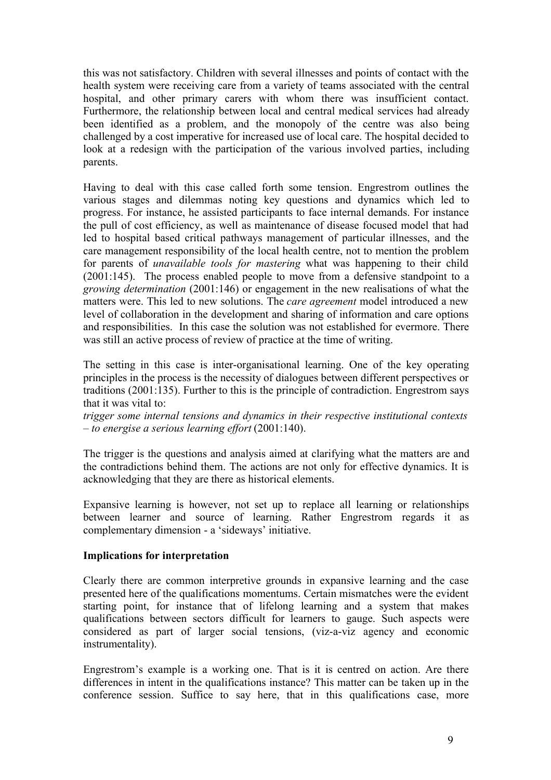this was not satisfactory. Children with several illnesses and points of contact with the health system were receiving care from a variety of teams associated with the central hospital, and other primary carers with whom there was insufficient contact. Furthermore, the relationship between local and central medical services had already been identified as a problem, and the monopoly of the centre was also being challenged by a cost imperative for increased use of local care. The hospital decided to look at a redesign with the participation of the various involved parties, including parents.

Having to deal with this case called forth some tension. Engrestrom outlines the various stages and dilemmas noting key questions and dynamics which led to progress. For instance, he assisted participants to face internal demands. For instance the pull of cost efficiency, as well as maintenance of disease focused model that had led to hospital based critical pathways management of particular illnesses, and the care management responsibility of the local health centre, not to mention the problem for parents of *unavailable tools for mastering* what was happening to their child (2001:145). The process enabled people to move from a defensive standpoint to a *growing determination* (2001:146) or engagement in the new realisations of what the matters were. This led to new solutions. The *care agreement* model introduced a new level of collaboration in the development and sharing of information and care options and responsibilities. In this case the solution was not established for evermore. There was still an active process of review of practice at the time of writing.

The setting in this case is inter-organisational learning. One of the key operating principles in the process is the necessity of dialogues between different perspectives or traditions (2001:135). Further to this is the principle of contradiction. Engrestrom says that it was vital to:

*trigger some internal tensions and dynamics in their respective institutional contexts – to energise a serious learning effort* (2001:140).

The trigger is the questions and analysis aimed at clarifying what the matters are and the contradictions behind them. The actions are not only for effective dynamics. It is acknowledging that they are there as historical elements.

Expansive learning is however, not set up to replace all learning or relationships between learner and source of learning. Rather Engrestrom regards it as complementary dimension - a 'sideways' initiative.

# **Implications for interpretation**

Clearly there are common interpretive grounds in expansive learning and the case presented here of the qualifications momentums. Certain mismatches were the evident starting point, for instance that of lifelong learning and a system that makes qualifications between sectors difficult for learners to gauge. Such aspects were considered as part of larger social tensions, (viz-a-viz agency and economic instrumentality).

Engrestrom's example is a working one. That is it is centred on action. Are there differences in intent in the qualifications instance? This matter can be taken up in the conference session. Suffice to say here, that in this qualifications case, more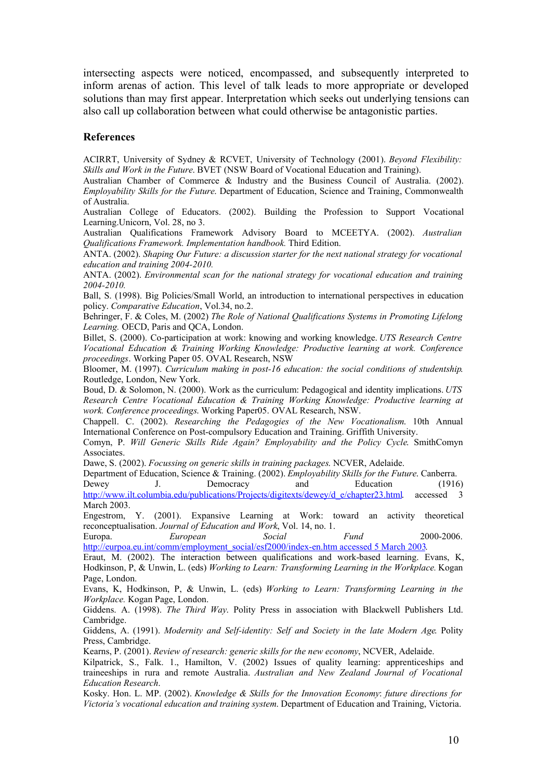intersecting aspects were noticed, encompassed, and subsequently interpreted to inform arenas of action. This level of talk leads to more appropriate or developed solutions than may first appear. Interpretation which seeks out underlying tensions can also call up collaboration between what could otherwise be antagonistic parties.

#### **References**

ACIRRT, University of Sydney & RCVET, University of Technology (2001). *Beyond Flexibility: Skills and Work in the Future*. BVET (NSW Board of Vocational Education and Training).

Australian Chamber of Commerce & Industry and the Business Council of Australia. (2002). *Employability Skills for the Future*. Department of Education, Science and Training, Commonwealth of Australia.

Australian College of Educators. (2002). Building the Profession to Support Vocational Learning.Unicorn, Vol. 28, no 3.

Australian Qualifications Framework Advisory Board to MCEETYA. (2002). *Australian Qualifications Framework. Implementation handbook.* Third Edition.

ANTA. (2002). *Shaping Our Future: a discussion starter for the next national strategy for vocational education and training 2004-2010.*

ANTA. (2002). *Environmental scan for the national strategy for vocational education and training 2004-2010.*

Ball, S. (1998). Big Policies/Small World, an introduction to international perspectives in education policy. *Comparative Education*, Vol.34, no.2.

Behringer, F. & Coles, M. (2002) *The Role of National Qualifications Systems in Promoting Lifelong Learning.* OECD, Paris and QCA, London.

Billet, S. (2000). Co-participation at work: knowing and working knowledge. *UTS Research Centre Vocational Education & Training Working Knowledge: Productive learning at work. Conference proceedings*. Working Paper 05. OVAL Research, NSW

Bloomer, M. (1997). *Curriculum making in post-16 education: the social conditions of studentship*. Routledge, London, New York.

Boud, D. & Solomon, N. (2000). Work as the curriculum: Pedagogical and identity implications. *UTS Research Centre Vocational Education & Training Working Knowledge: Productive learning at work. Conference proceedings*. Working Paper05. OVAL Research, NSW.

Chappell. C. (2002). *Researching the Pedagogies of the New Vocationalism*. 10th Annual International Conference on Post-compulsory Education and Training. Griffith University.

Comyn, P. *Will Generic Skills Ride Again? Employability and the Policy Cycle*. SmithComyn Associates.

Dawe, S. (2002). *Focussing on generic skills in training packages*. NCVER, Adelaide.

Department of Education, Science & Training. (2002). *Employability Skills for the Future*. Canberra. Dewey J. Democracy and Education (1916)

http://www.ilt.columbia.edu/publications/Projects/digitexts/dewey/d\_e/chapter23.html. accessed 3 March 2003.

Engestrom, Y. (2001). Expansive Learning at Work: toward an activity theoretical reconceptualisation. *Journal of Education and Work*, Vol. 14, no. 1.

Europa. *European Social Fund* 2000-2006. http://eurpoa.eu.int/comm/employment\_social/esf2000/index-en.htm accessed 5 March 2003.

Eraut, M. (2002). The interaction between qualifications and work-based learning. Evans, K, Hodkinson, P, & Unwin, L. (eds) *Working to Learn: Transforming Learning in the Workplace.* Kogan Page, London.

Evans, K, Hodkinson, P, & Unwin, L. (eds) *Working to Learn: Transforming Learning in the Workplace.* Kogan Page, London.

Giddens. A. (1998). *The Third Way*. Polity Press in association with Blackwell Publishers Ltd. Cambridge.

Giddens, A. (1991). *Modernity and Self-identity: Self and Society in the late Modern Age*. Polity Press, Cambridge.

Kearns, P. (2001). *Review of research: generic skills for the new economy*, NCVER, Adelaide.

Kilpatrick, S., Falk. 1., Hamilton, V. (2002) Issues of quality learning: apprenticeships and traineeships in rura and remote Australia. *Australian and New Zealand Journal of Vocational Education Research*.

Kosky. Hon. L. MP. (2002). *Knowledge & Skills for the Innovation Economy*: *future directions for Victoria's vocational education and training system*. Department of Education and Training, Victoria.